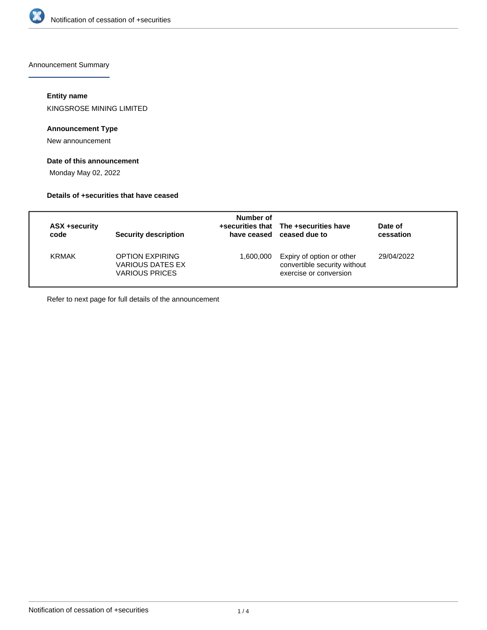

Announcement Summary

#### **Entity name**

KINGSROSE MINING LIMITED

## **Announcement Type**

New announcement

# **Date of this announcement**

Monday May 02, 2022

#### **Details of +securities that have ceased**

| <b>ASX +security</b><br>code | Security description                                                | Number of | +securities that The +securities have<br>have ceased ceased due to                  | Date of<br>cessation |
|------------------------------|---------------------------------------------------------------------|-----------|-------------------------------------------------------------------------------------|----------------------|
| <b>KRMAK</b>                 | <b>OPTION EXPIRING</b><br>VARIOUS DATES EX<br><b>VARIOUS PRICES</b> | 1,600,000 | Expiry of option or other<br>convertible security without<br>exercise or conversion | 29/04/2022           |

Refer to next page for full details of the announcement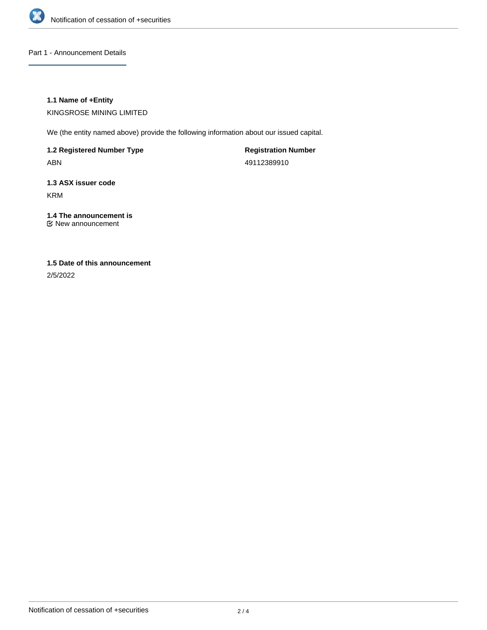

Part 1 - Announcement Details

### **1.1 Name of +Entity**

KINGSROSE MINING LIMITED

We (the entity named above) provide the following information about our issued capital.

**1.2 Registered Number Type**

ABN

**Registration Number** 49112389910

# **1.3 ASX issuer code** KRM

**1.4 The announcement is** New announcement

# **1.5 Date of this announcement**

2/5/2022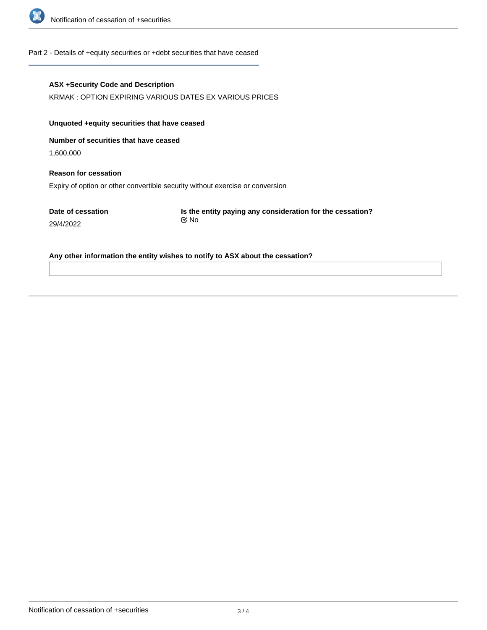

#### Part 2 - Details of +equity securities or +debt securities that have ceased

#### **ASX +Security Code and Description**

KRMAK : OPTION EXPIRING VARIOUS DATES EX VARIOUS PRICES

# **Unquoted +equity securities that have ceased**

**Number of securities that have ceased**

1,600,000

# **Reason for cessation** Expiry of option or other convertible security without exercise or conversion

**Date of cessation** 29/4/2022

**Is the entity paying any consideration for the cessation?** No

#### **Any other information the entity wishes to notify to ASX about the cessation?**